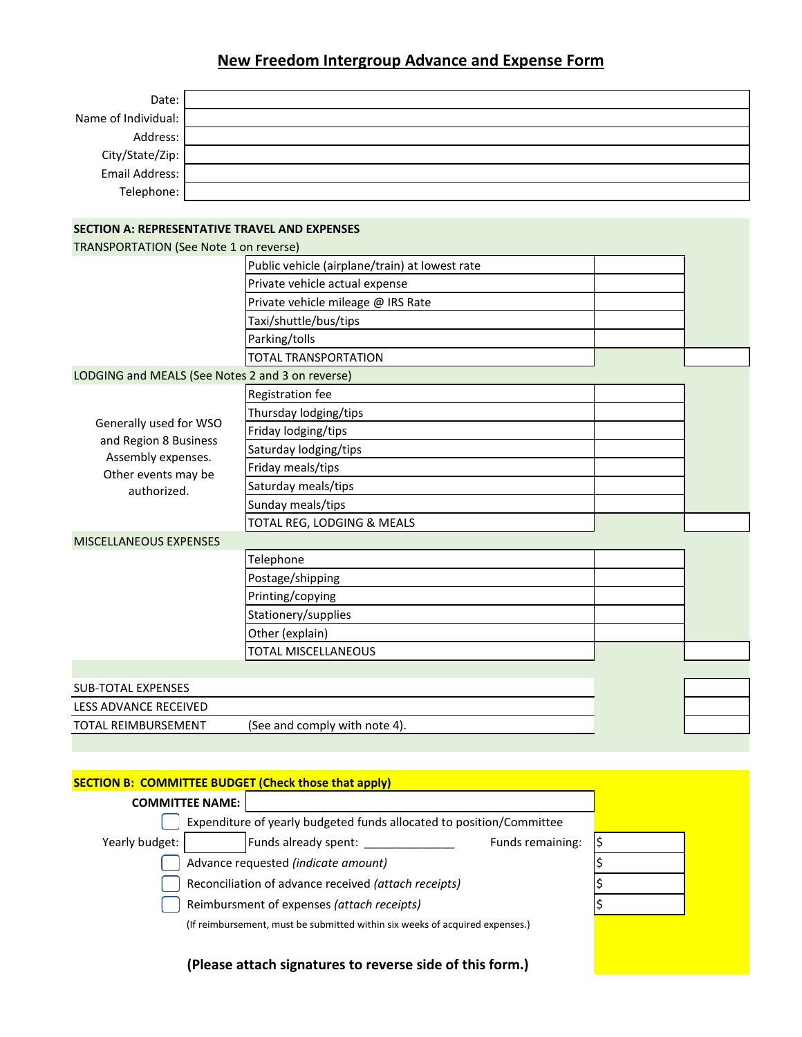## **New Freedom Intergroup Advance and Expense Form**

| Date:                             |  |
|-----------------------------------|--|
| Name of Individual:               |  |
| Address:                          |  |
| City/State/Zip:<br>Email Address: |  |
|                                   |  |
| Telephone:                        |  |

## **SECTION A: REPRESENTATIVE TRAVEL AND EXPENSES**

| <b>TRANSPORTATION (See Note 1 on reverse)</b>    |                                                |  |  |  |
|--------------------------------------------------|------------------------------------------------|--|--|--|
|                                                  | Public vehicle (airplane/train) at lowest rate |  |  |  |
|                                                  | Private vehicle actual expense                 |  |  |  |
|                                                  | Private vehicle mileage @ IRS Rate             |  |  |  |
|                                                  | Taxi/shuttle/bus/tips                          |  |  |  |
|                                                  | Parking/tolls                                  |  |  |  |
|                                                  | <b>TOTAL TRANSPORTATION</b>                    |  |  |  |
| LODGING and MEALS (See Notes 2 and 3 on reverse) |                                                |  |  |  |
|                                                  | <b>Registration fee</b>                        |  |  |  |
|                                                  | Thursday lodging/tips                          |  |  |  |
| Generally used for WSO                           | Friday lodging/tips                            |  |  |  |
| and Region 8 Business<br>Assembly expenses.      | Saturday lodging/tips                          |  |  |  |
| Other events may be                              | Friday meals/tips                              |  |  |  |
| authorized.                                      | Saturday meals/tips                            |  |  |  |
|                                                  | Sunday meals/tips                              |  |  |  |
|                                                  | TOTAL REG, LODGING & MEALS                     |  |  |  |
| MISCELLANEOUS EXPENSES                           |                                                |  |  |  |
|                                                  | Telephone                                      |  |  |  |
|                                                  | Postage/shipping                               |  |  |  |
|                                                  | Printing/copying                               |  |  |  |
|                                                  | Stationery/supplies                            |  |  |  |
|                                                  | Other (explain)                                |  |  |  |
|                                                  | TOTAL MISCELLANEOUS                            |  |  |  |
|                                                  |                                                |  |  |  |
| <b>SUB-TOTAL EXPENSES</b>                        |                                                |  |  |  |
| LESS ADVANCE RECEIVED                            |                                                |  |  |  |
| <b>TOTAL REIMBURSEMENT</b>                       | (See and comply with note 4).                  |  |  |  |
|                                                  |                                                |  |  |  |

## **SECTION B: COMMITTEE BUDGET (Check those that apply)**

| <b>COMMITTEE NAME:</b> |                                                                              |                  |  |
|------------------------|------------------------------------------------------------------------------|------------------|--|
|                        | Expenditure of yearly budgeted funds allocated to position/Committee         |                  |  |
| Yearly budget:         | Funds already spent:                                                         | Funds remaining: |  |
|                        | Advance requested (indicate amount)                                          |                  |  |
|                        | Reconciliation of advance received (attach receipts)                         |                  |  |
|                        | Reimbursment of expenses (attach receipts)                                   |                  |  |
|                        | (If reimbursement, must be submitted within six weeks of acquired expenses.) |                  |  |
|                        |                                                                              |                  |  |

**(Please attach signatures to reverse side of this form.)**